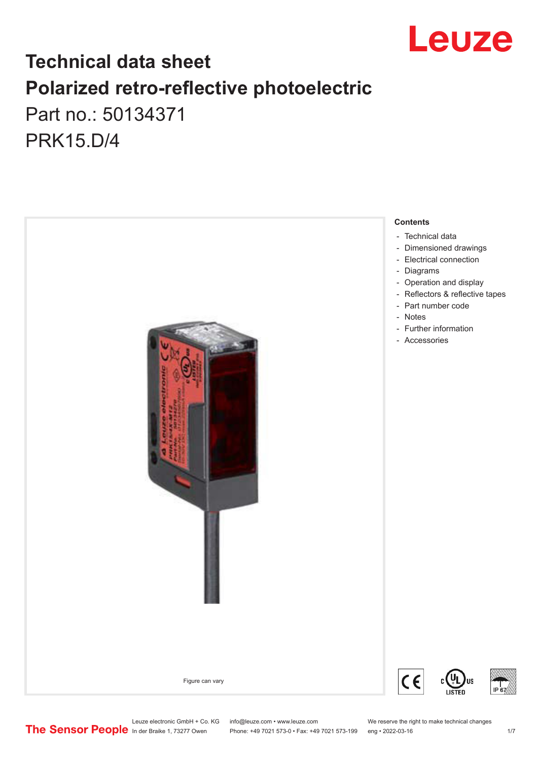

# **Technical data sheet Polarized retro-reflective photoelectric**  Part no.: 50134371

PRK15.D/4



Leuze electronic GmbH + Co. KG info@leuze.com • www.leuze.com We reserve the right to make technical changes<br>
The Sensor People in der Braike 1, 73277 Owen Phone: +49 7021 573-0 • Fax: +49 7021 573-199 eng • 2022-03-16

Phone: +49 7021 573-0 • Fax: +49 7021 573-199 eng • 2022-03-16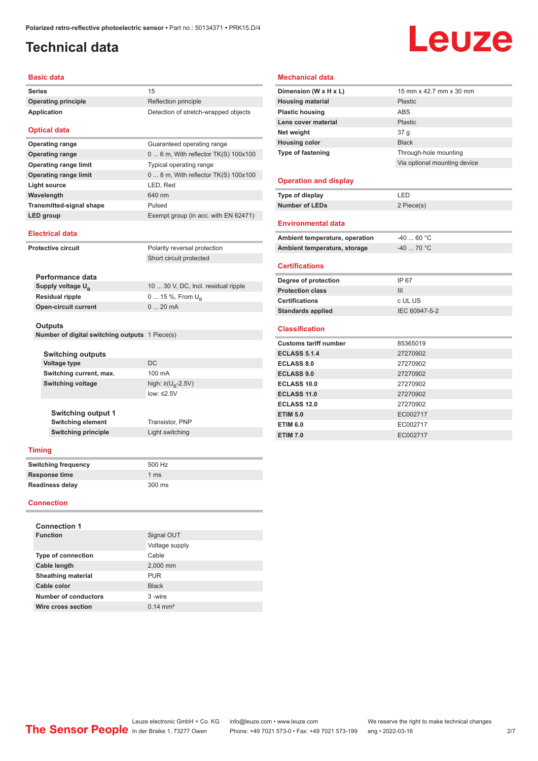## <span id="page-1-0"></span>**Technical data**

# Leuze

#### **Basic data**

| <b>Series</b>       | 15                                   |
|---------------------|--------------------------------------|
| Operating principle | Reflection principle                 |
| Application         | Detection of stretch-wrapped objects |
|                     |                                      |

#### **Optical data**

| <b>Operating range</b>          | Guaranteed operating range              |
|---------------------------------|-----------------------------------------|
| <b>Operating range</b>          | $0 6$ m, With reflector TK(S) $100x100$ |
| <b>Operating range limit</b>    | Typical operating range                 |
| <b>Operating range limit</b>    | $08$ m, With reflector TK(S) 100x100    |
| Light source                    | LED, Red                                |
| Wavelength                      | 640 nm                                  |
| <b>Transmitted-signal shape</b> | Pulsed                                  |
| LED group                       | Exempt group (in acc. with EN 62471)    |

#### **Electrical data**

| <b>Protective circuit</b> |                                                | Polarity reversal protection        |  |
|---------------------------|------------------------------------------------|-------------------------------------|--|
|                           |                                                | Short circuit protected             |  |
|                           |                                                |                                     |  |
|                           | Performance data                               |                                     |  |
|                           | Supply voltage $U_{\rm B}$                     | 10  30 V, DC, Incl. residual ripple |  |
|                           | <b>Residual ripple</b>                         | $0 15 \%$ , From $U_{p}$            |  |
|                           | <b>Open-circuit current</b>                    | $0.20 \text{ mA}$                   |  |
|                           |                                                |                                     |  |
|                           | <b>Outputs</b>                                 |                                     |  |
|                           | Number of digital switching outputs 1 Piece(s) |                                     |  |

| <b>Switching outputs</b> |                                    |
|--------------------------|------------------------------------|
| <b>Voltage type</b>      | DC.                                |
| Switching current, max.  | 100 mA                             |
| Switching voltage        | high: $\geq (U_{\text{B}} - 2.5V)$ |
|                          | low: $\leq 2.5V$                   |
|                          |                                    |

**Switching element** Transistor, PNP **Light switching** 

| <b>Switching output 1</b>  |
|----------------------------|
| <b>Switching element</b>   |
| <b>Switching principle</b> |

#### **Timing**

| <b>Switching frequency</b> | 500 Hz |  |
|----------------------------|--------|--|
| <b>Response time</b>       | 1 ms   |  |
| Readiness delay            | 300 ms |  |

#### **Connection**

| <b>Connection 1</b>       |                     |
|---------------------------|---------------------|
| <b>Function</b>           | Signal OUT          |
|                           | Voltage supply      |
| <b>Type of connection</b> | Cable               |
| Cable length              | 2,000 mm            |
| <b>Sheathing material</b> | <b>PUR</b>          |
| Cable color               | <b>Black</b>        |
| Number of conductors      | 3-wire              |
| Wire cross section        | $0.14 \text{ mm}^2$ |

#### **Mechanical data**

| Dimension (W x H x L)          | 15 mm x 42.7 mm x 30 mm      |
|--------------------------------|------------------------------|
| <b>Housing material</b>        | Plastic                      |
| <b>Plastic housing</b>         | <b>ABS</b>                   |
| Lens cover material            | Plastic                      |
| Net weight                     | 37 <sub>g</sub>              |
| <b>Housing color</b>           | <b>Black</b>                 |
| <b>Type of fastening</b>       | Through-hole mounting        |
|                                | Via optional mounting device |
|                                |                              |
| <b>Operation and display</b>   |                              |
| Type of display                | LED                          |
| <b>Number of LEDs</b>          | 2 Piece(s)                   |
|                                |                              |
| <b>Environmental data</b>      |                              |
| Ambient temperature, operation | $-4060 °C$                   |
| Ambient temperature, storage   | $-40$ 70 °C                  |
|                                |                              |
| <b>Certifications</b>          |                              |
| Degree of protection           | IP 67                        |
| <b>Protection class</b>        | III                          |
| <b>Certifications</b>          | c UL US                      |
| <b>Standards applied</b>       | IEC 60947-5-2                |
|                                |                              |
| <b>Classification</b>          |                              |
| <b>Customs tariff number</b>   | 85365019                     |
| <b>ECLASS 5.1.4</b>            | 27270902                     |
| <b>ECLASS 8.0</b>              | 27270902                     |
| <b>ECLASS 9.0</b>              | 27270902                     |
| <b>ECLASS 10.0</b>             | 27270902                     |
| <b>ECLASS 11.0</b>             | 27270902                     |
| <b>ECLASS 12.0</b>             | 27270902                     |
| <b>ETIM 5.0</b>                | EC002717                     |
| <b>ETIM 6.0</b>                | EC002717                     |
| <b>ETIM 7.0</b>                | EC002717                     |

Leuze electronic GmbH + Co. KG info@leuze.com • www.leuze.com We reserve the right to make technical changes<br>
The Sensor People in der Braike 1, 73277 Owen Phone: +49 7021 573-0 • Fax: +49 7021 573-199 eng • 2022-03-16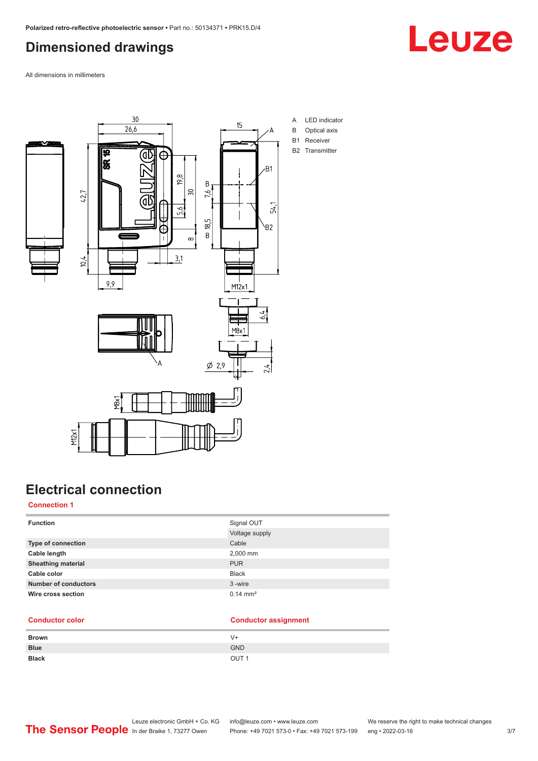## <span id="page-2-0"></span>**Dimensioned drawings**



All dimensions in millimeters



# **Electrical connection**

#### **Connection 1**

| <b>Function</b>             | Signal OUT            |
|-----------------------------|-----------------------|
|                             | Voltage supply        |
| Type of connection          | Cable                 |
| Cable length                | 2,000 mm              |
| <b>Sheathing material</b>   | <b>PUR</b>            |
| Cable color                 | <b>Black</b>          |
| <b>Number of conductors</b> | 3-wire                |
| Wire cross section          | $0.14 \, \text{mm}^2$ |

#### **Conductor color Conductor assignment**

| <b>Brown</b> | V+               |
|--------------|------------------|
| <b>Blue</b>  | <b>GND</b>       |
| <b>Black</b> | OUT <sub>1</sub> |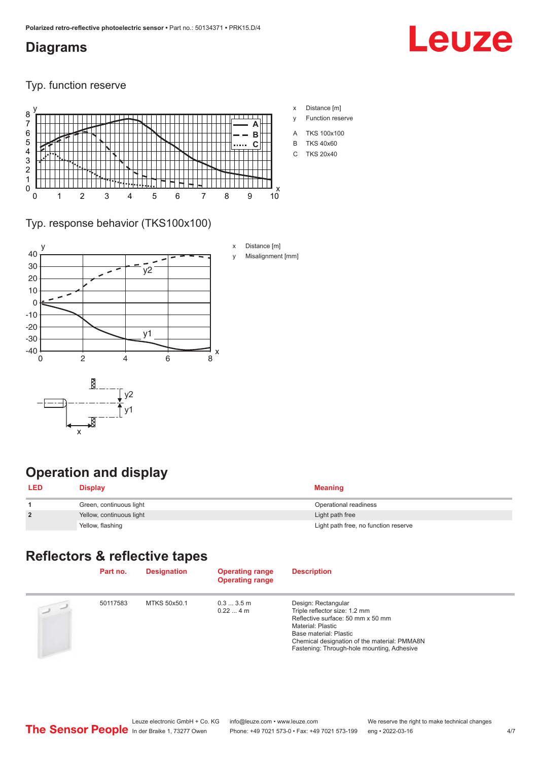#### <span id="page-3-0"></span>**Diagrams**

# Leuze

Typ. function reserve



Typ. response behavior (TKS100x100)



# **Operation and display**

| <b>LED</b>     | <b>Display</b>           | <b>Meaning</b>                       |
|----------------|--------------------------|--------------------------------------|
|                | Green, continuous light  | Operational readiness                |
| $\overline{2}$ | Yellow, continuous light | Light path free                      |
|                | Yellow, flashing         | Light path free, no function reserve |

### **Reflectors & reflective tapes**

| Part no. | <b>Designation</b> | <b>Operating range</b><br><b>Operating range</b> | <b>Description</b>                                                                                                                                                                                                                     |
|----------|--------------------|--------------------------------------------------|----------------------------------------------------------------------------------------------------------------------------------------------------------------------------------------------------------------------------------------|
| 50117583 | MTKS 50x50.1       | $0.33.5$ m<br>$0.224$ m                          | Design: Rectangular<br>Triple reflector size: 1.2 mm<br>Reflective surface: 50 mm x 50 mm<br>Material: Plastic<br>Base material: Plastic<br>Chemical designation of the material: PMMA8N<br>Fastening: Through-hole mounting, Adhesive |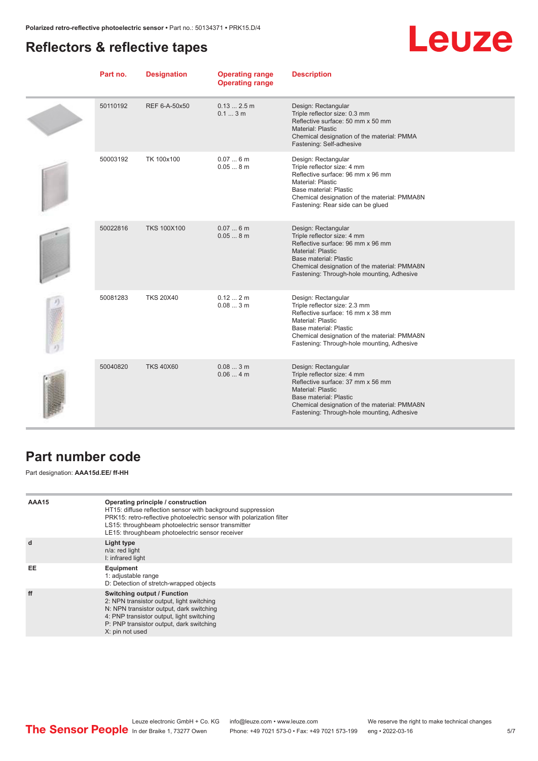#### <span id="page-4-0"></span>**Reflectors & reflective tapes**

# Leuze

| Part no. | <b>Designation</b> | <b>Operating range</b><br><b>Operating range</b> | <b>Description</b>                                                                                                                                                                                                                          |
|----------|--------------------|--------------------------------------------------|---------------------------------------------------------------------------------------------------------------------------------------------------------------------------------------------------------------------------------------------|
| 50110192 | REF 6-A-50x50      | $0.132.5$ m<br>0.13m                             | Design: Rectangular<br>Triple reflector size: 0.3 mm<br>Reflective surface: 50 mm x 50 mm<br>Material: Plastic<br>Chemical designation of the material: PMMA<br>Fastening: Self-adhesive                                                    |
| 50003192 | TK 100x100         | 0.076m<br>0.058m                                 | Design: Rectangular<br>Triple reflector size: 4 mm<br>Reflective surface: 96 mm x 96 mm<br>Material: Plastic<br>Base material: Plastic<br>Chemical designation of the material: PMMA8N<br>Fastening: Rear side can be glued                 |
| 50022816 | <b>TKS 100X100</b> | 0.076m<br>0.058m                                 | Design: Rectangular<br>Triple reflector size: 4 mm<br>Reflective surface: 96 mm x 96 mm<br><b>Material: Plastic</b><br>Base material: Plastic<br>Chemical designation of the material: PMMA8N<br>Fastening: Through-hole mounting, Adhesive |
| 50081283 | <b>TKS 20X40</b>   | 0.122m<br>0.083m                                 | Design: Rectangular<br>Triple reflector size: 2.3 mm<br>Reflective surface: 16 mm x 38 mm<br>Material: Plastic<br>Base material: Plastic<br>Chemical designation of the material: PMMA8N<br>Fastening: Through-hole mounting, Adhesive      |
| 50040820 | <b>TKS 40X60</b>   | 0.083m<br>0.064m                                 | Design: Rectangular<br>Triple reflector size: 4 mm<br>Reflective surface: 37 mm x 56 mm<br><b>Material: Plastic</b><br>Base material: Plastic<br>Chemical designation of the material: PMMA8N<br>Fastening: Through-hole mounting, Adhesive |

#### **Part number code**

Part designation: **AAA15d.EE/ ff-HH**

| AAA15 | Operating principle / construction<br>HT15: diffuse reflection sensor with background suppression<br>PRK15: retro-reflective photoelectric sensor with polarization filter<br>LS15: throughbeam photoelectric sensor transmitter<br>LE15: throughbeam photoelectric sensor receiver |
|-------|-------------------------------------------------------------------------------------------------------------------------------------------------------------------------------------------------------------------------------------------------------------------------------------|
| d     | Light type<br>n/a: red light<br>I: infrared light                                                                                                                                                                                                                                   |
| EE    | Equipment<br>1: adjustable range<br>D: Detection of stretch-wrapped objects                                                                                                                                                                                                         |
| ff    | Switching output / Function<br>2: NPN transistor output, light switching<br>N: NPN transistor output, dark switching<br>4: PNP transistor output, light switching<br>P: PNP transistor output, dark switching<br>X: pin not used                                                    |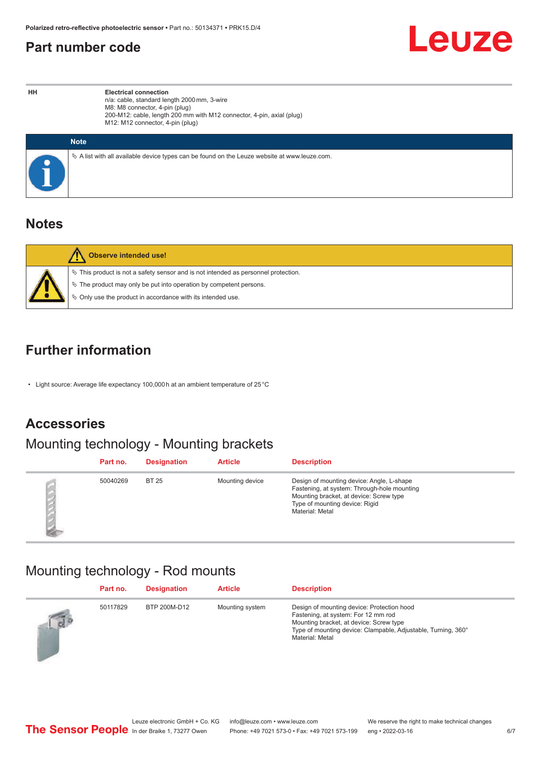#### <span id="page-5-0"></span>**Part number code**



**HH Electrical connection** n/a: cable, standard length 2000 mm, 3-wire M8: M8 connector, 4-pin (plug) 200-M12: cable, length 200 mm with M12 connector, 4-pin, axial (plug) M12: M12 connector, 4-pin (plug)

| <b>Note</b>                                                                                  |
|----------------------------------------------------------------------------------------------|
| ∜ A list with all available device types can be found on the Leuze website at www.leuze.com. |

#### **Notes**

| Observe intended use!                                                                                                                                                                                                         |
|-------------------------------------------------------------------------------------------------------------------------------------------------------------------------------------------------------------------------------|
| $\%$ This product is not a safety sensor and is not intended as personnel protection.<br>$\&$ The product may only be put into operation by competent persons.<br>♦ Only use the product in accordance with its intended use. |

### **Further information**

• Light source: Average life expectancy 100,000 h at an ambient temperature of 25 °C

## **Accessories**

# Mounting technology - Mounting brackets

| Part no. | <b>Designation</b> | <b>Article</b>  | <b>Description</b>                                                                                                                                                                       |
|----------|--------------------|-----------------|------------------------------------------------------------------------------------------------------------------------------------------------------------------------------------------|
| 50040269 | <b>BT 25</b>       | Mounting device | Design of mounting device: Angle, L-shape<br>Fastening, at system: Through-hole mounting<br>Mounting bracket, at device: Screw type<br>Type of mounting device: Rigid<br>Material: Metal |

## Mounting technology - Rod mounts

|          | Part no. | <b>Designation</b> | <b>Article</b>  | <b>Description</b>                                                                                                                                                                                               |
|----------|----------|--------------------|-----------------|------------------------------------------------------------------------------------------------------------------------------------------------------------------------------------------------------------------|
| $\log P$ | 50117829 | BTP 200M-D12       | Mounting system | Design of mounting device: Protection hood<br>Fastening, at system: For 12 mm rod<br>Mounting bracket, at device: Screw type<br>Type of mounting device: Clampable, Adjustable, Turning, 360°<br>Material: Metal |